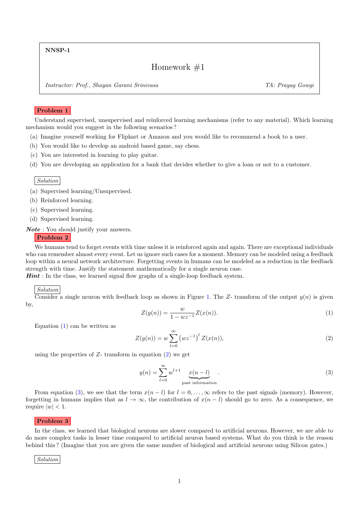NNSP-1

# Homework #1

Instructor: Prof., Shayan Garani Srinivasa TA: Prayag Gowgi

# Problem 1

Understand supervised, unsupervised and reinforced learning mechanisms (refer to any material). Which learning mechanism would you suggest in the following scenarios ?

- (a) Imagine yourself working for Flipkart or Amazon and you would like to recommend a book to a user.
- (b) You would like to develop an android based game, say chess.
- (c) You are interested in learning to play guitar.
- (d) You are developing an application for a bank that decides whether to give a loan or not to a customer.

Solution

- (a) Supervised learning/Unsupervised.
- (b) Reinforced learning.
- (c) Supervised learning.
- (d) Supervised learning.

Note : You should justify your answers.

#### Problem 2

We humans tend to forget events with time unless it is reinforced again and again. There are exceptional individuals who can remember almost every event. Let us ignore such cases for a moment. Memory can be modeled using a feedback loop within a neural network architecture. Forgetting events in humans can be modeled as a reduction in the feedback strength with time. Justify the statement mathematically for a single neuron case.

**Hint**: In the class, we learned signal flow graphs of a single-loop feedback system.

#### Solution

Consider a single neuron with feedback loop as shown in Figure [1.](#page-1-0) The Z- transform of the output  $y(n)$  is given by,

<span id="page-0-0"></span>
$$
Z(y(n)) = \frac{w}{1 - wz^{-1}} Z(x(n)).
$$
\n(1)

Equation  $(1)$  can be written as

<span id="page-0-1"></span>
$$
Z(y(n)) = w \sum_{l=0}^{\infty} (wz^{-1})^{l} Z(x(n)),
$$
\n(2)

using the properties of  $Z$ - transform in equation  $(2)$  we get

<span id="page-0-2"></span>
$$
y(n) = \sum_{l=0}^{\infty} w^{l+1} \underbrace{x(n-l)}_{\text{past information}}.
$$
 (3)

From equation [\(3\)](#page-0-2), we see that the term  $x(n - l)$  for  $l = 0, \ldots, \infty$  refers to the past signals (memory). However, forgetting in humans implies that as  $l \to \infty$ , the contribution of  $x(n - l)$  should go to zero. As a consequence, we require  $|w| < 1$ .

#### Problem 3

In the class, we learned that biological neurons are slower compared to artificial neurons. However, we are able to do more complex tasks in lesser time compared to artificial neuron based systems. What do you think is the reason behind this ? (Imagine that you are given the same number of biological and artificial neurons using Silicon gates.)

Solution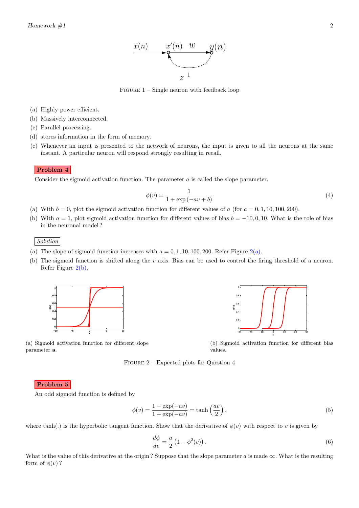

FIGURE  $1 -$  Single neuron with feedback loop

- <span id="page-1-0"></span>(a) Highly power efficient.
- (b) Massively interconnected.
- (c) Parallel processing.
- (d) stores information in the form of memory.
- (e) Whenever an input is presented to the network of neurons, the input is given to all the neurons at the same instant. A particular neuron will respond strongly resulting in recall.

# Problem 4

Consider the sigmoid activation function. The parameter a is called the slope parameter.

$$
\phi(v) = \frac{1}{1 + \exp(-av + b)}\tag{4}
$$

- (a) With  $b = 0$ , plot the sigmoid activation function for different values of a (for  $a = 0, 1, 10, 100, 200$ ).
- (b) With  $a = 1$ , plot sigmoid activation function for different values of bias  $b = -10, 0, 10$ . What is the role of bias in the neuronal model ?

Solution

- (a) The slope of sigmoid function increases with  $a = 0, 1, 10, 100, 200$ . Refer Figure [2\(a\).](#page-1-1)
- (b) The sigmoid function is shifted along the v axis. Bias can be used to control the firing threshold of a neuron. Refer Figure [2\(b\).](#page-1-1)

<span id="page-1-1"></span>

(a) Sigmoid activation function for different slope

−30 −20 −10 0 10 20 30  $0 0.2$  $0.4$ 0.6 0.8 1 H **v** φ**(v)**

(b) Sigmoid activation function for different bias values.

Figure 2 – Expected plots for Question 4

# Problem 5

parameter a.

An odd sigmoid function is defined by

<span id="page-1-2"></span>
$$
\phi(v) = \frac{1 - \exp(-av)}{1 + \exp(-av)} = \tanh\left(\frac{av}{2}\right),\tag{5}
$$

where tanh(.) is the hyperbolic tangent function. Show that the derivative of  $\phi(v)$  with respect to v is given by

$$
\frac{d\phi}{dv} = \frac{a}{2} \left( 1 - \phi^2(v) \right). \tag{6}
$$

What is the value of this derivative at the origin? Suppose that the slope parameter  $a$  is made  $\infty$ . What is the resulting form of  $\phi(v)$ ?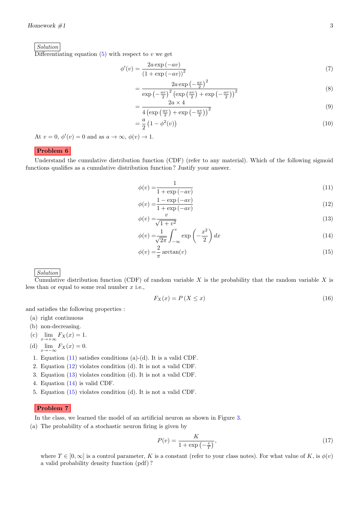Solution

Differentiating equation  $(5)$  with respect to v we get

$$
\phi'(v) = \frac{2a \exp(-av)}{\left(1 + \exp(-av)\right)^2} \tag{7}
$$

$$
=\frac{2a\exp\left(-\frac{av}{2}\right)^2}{\exp\left(-\frac{av}{2}\right)^2\left(\exp\left(\frac{av}{2}\right)+\exp\left(-\frac{av}{2}\right)\right)^2}
$$
\n(8)

$$
\exp\left(-\frac{av}{2}\right)^2 \left(\exp\left(\frac{av}{2}\right) + \exp\left(-\frac{av}{2}\right)\right)^2
$$
\n
$$
= \frac{2a \times 4}{\sqrt{3a^2 + 4a^2}} \tag{9}
$$

$$
-4\left(\exp\left(\frac{av}{2}\right)+\exp\left(-\frac{av}{2}\right)\right)^2
$$
  
=  $\frac{a}{2}\left(1-\phi^2(v)\right)$  (10)

$$
=\frac{a}{2}\left(1-\phi^2(v)\right)
$$

At  $v = 0$ ,  $\phi'(v) = 0$  and as  $a \to \infty$ ,  $\phi(v) \to 1$ .

# Problem 6

Understand the cumulative distribution function (CDF) (refer to any material). Which of the following sigmoid functions qualifies as a cumulative distribution function ? Justify your answer.

<span id="page-2-0"></span>
$$
\phi(v) = \frac{1}{1 + \exp(-av)}\tag{11}
$$

<span id="page-2-1"></span>
$$
\phi(v) = \frac{1 - \exp(-av)}{1 + \exp(-av)}
$$
\n<sup>(12)</sup>

<span id="page-2-2"></span>
$$
\phi(v) = \frac{v}{\sqrt{1 + v^2}}\tag{13}
$$

$$
\phi(v) = \frac{1}{\sqrt{2\pi}} \int_{-\infty}^{v} \exp\left(-\frac{x^2}{2}\right) dx\tag{14}
$$

$$
\phi(v) = \frac{2}{\pi} \arctan(v) \tag{15}
$$

Solution

Cumulative distribution function (CDF) of random variable X is the probability that the random variable X is less than or equal to some real number  $x$  i.e.,

<span id="page-2-4"></span><span id="page-2-3"></span>
$$
F_X(x) = P(X \le x) \tag{16}
$$

and satisfies the following properties :

- (a) right continuous
- (b) non-decreasing.
- (c)  $\lim_{x \to +\infty} F_X(x) = 1.$

(d)  $\lim_{x \to -\infty} F_X(x) = 0.$ 

- 1. Equation [\(11\)](#page-2-0) satisfies conditions (a)-(d). It is a valid CDF.
- 2. Equation [\(12\)](#page-2-1) violates condition (d). It is not a valid CDF.
- 3. Equation [\(13\)](#page-2-2) violates condition (d). It is not a valid CDF.
- 4. Equation [\(14\)](#page-2-3) is valid CDF.
- 5. Equation [\(15\)](#page-2-4) violates condition (d). It is not a valid CDF.

# Problem 7

In the class, we learned the model of an artificial neuron as shown in Figure [3.](#page-3-0)

(a) The probability of a stochastic neuron firing is given by

<span id="page-2-5"></span>
$$
P(v) = \frac{K}{1 + \exp\left(-\frac{v}{T}\right)},\tag{17}
$$

where  $T \in [0, \infty]$  is a control parameter, K is a constant (refer to your class notes). For what value of K, is  $\phi(v)$ a valid probability density function (pdf) ?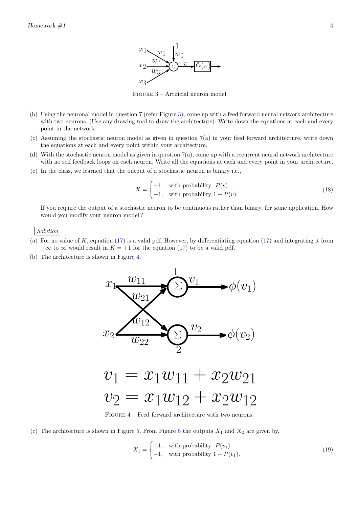

Figure 3 – Artificial neuron model

- <span id="page-3-0"></span>(b) Using the neuronal model in question 7 (refer Figure [3\)](#page-3-0), come up with a feed forward neural network architecture with two neurons. (Use any drawing tool to draw the architecture). Write down the equations at each and every point in the network.
- (c) Assuming the stochastic neuron model as given in question 7(a) in your feed forward architecture, write down the equations at each and every point within your architecture.
- (d) With the stochastic neuron model as given in question 7(a), come up with a recurrent neural network architecture with no self feedback loops on each neuron. Write all the equations at each and every point in your architecture.
- (e) In the class, we learned that the output of a stochastic neuron is binary i.e.,

$$
X = \begin{cases} +1, & \text{with probability } P(v) \\ -1, & \text{with probability } 1 - P(v). \end{cases} \tag{18}
$$

If you require the output of a stochastic neuron to be continuous rather than binary, for some application. How would you modify your neuron model ?

Solution

- (a) For no value of  $K$ , equation [\(17\)](#page-2-5) is a valid pdf. However, by differentiating equation (17) and integrating it from  $-\infty$  to  $\infty$  would result in  $K = +1$  for the equation [\(17\)](#page-2-5) to be a valid pdf.
- <span id="page-3-1"></span>(b) The architecture is shown in Figure [4.](#page-3-1)



FIGURE  $4$  – Feed forward architecture with two neurons.

(c) The architecture is shown in Figure [5.](#page-4-0) From Figure [5](#page-4-0) the outputs  $X_1$  and  $X_2$  are given by,

$$
X_1 = \begin{cases} +1, & \text{with probability } P(v_1) \\ -1, & \text{with probability } 1 - P(v_1). \end{cases}
$$
 (19)